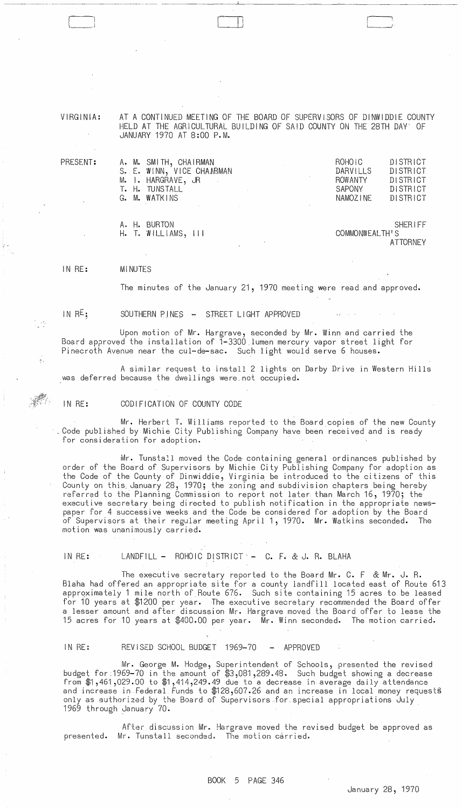VIRGINIA: AT A CONTINUED MEETING OF THE BOARD OF SUPERVISORS OF DINWIDDIE COUNTY HELD AT THE AGRICULTURAL BUILDING OF SAID COUNTY ON THE 28TH DAY' OF JANUARY 1970 AT 8:00 P.M.

|  | A. M. SMITH, CHAIRMAN     | ROHOIC   | DISTRICT |
|--|---------------------------|----------|----------|
|  | S. E. WINN, VICE CHAARMAN | DARVILLS | DISTRICT |
|  | M. I. HARGRAVE, JR        | ROWANTY  | DISTRICT |
|  | T. H. TUNSTALL            | SAPONY   | DISTRICT |
|  | G. M. WATKINS             | NAMOZINE | DISTRICT |
|  |                           |          |          |
|  |                           |          |          |

 $\blacksquare$ 

|  | A. H. BURTON        |  | <b>SHERIFF</b> |
|--|---------------------|--|----------------|
|  | H. T. WILLIAMS, III |  | COMMONWEALTH'S |
|  |                     |  | ATTORNEY       |

IN RE: MINUTES

The minutes of the January 21, 1970 meeting were read and approved.

IN RE;

PRESENT:

 $\epsilon$  -

SOUTHERN PINES - STREET LIGHT APPROVED

Upon motion of Mr. Hargrave, seconded by Mr. Winn and carried the Board approved the installation of 1-3300 lumen mercury vapor street light for Pinecroth Avenue near the cul-de-sac. Such light would serve 6 houses.

A similar request to install 2 lights on Darby Drive in Western Hills was deferred because the dwellings were, not occupied.

IN RE: CODIFICATION OF COUNTY CODE

Mr. Herbert T. Williams reported to the Board copies of the new County<br>Code published by Michie City Publishing Company have been received and is ready for consideration for adoption.

Mr. Tunstall moved the Code containing general ordinances published by order of the Board of Supervisors by Michie City Publishing Company for adoption as the Code of the County of Dinwiddie, Virginia be introduced to the citizens of this County on this January 28, 1970; the zoning and subdivision chapters being hereby referred to the Planning Commission to report not later than March 16, 1970; the executive secretary being directed to publish notification in the appropriate newspaper for 4 successive weeks and the Code be considered for adoption by the Board of Supervisors at their regular meeting April 1, 1970.  $\,$  Mr. Watkins seconded. The  $\,$ motion was unanimously carried.

IN RE: LANDFILL - ROHOIC DISTRICT  $-C.$  F. & J. R. BLAHA

The executive secretary reported to the Board Mr. C. F & Mr. J. R. Blaha had offered an appropriate site for a county landfill located east of Route 613 apprQximately 1 mile north of Route 676. Such site containing 15 acres to be leased for 10 years at \$1200 per year. The executive secretary recommended the Board offer a lesser amount and after discussion Mr. Hargrave moved the Board offer to lease the 15 acres for 10 years at \$400.00 per year. Mr. Winn seconded. The motion carried.

IN RE: REVISED SCHOOL BUDGET 1969-70 - APPROVED

Mr. George M. Hodge, Superintendent of Schools, presented the revised budget for.1969-70 in the amount of \$3,081,289.48. Such budget showing a decrease from  $$1,461,029.00$  to  $$1,414,249.49$  due to a decrease in average daily attendance and increase in Federal Funds to \$128,607.26 and an increase in local money requests only as authorized by the Board of Supervisors for. special appropriations July 1969 through January 70.

After discussion Mr. Hargrave moved the revised budget be approved as presented. Mr. Tunstall seconded. The motion carried.

Janua ry 28, 1970